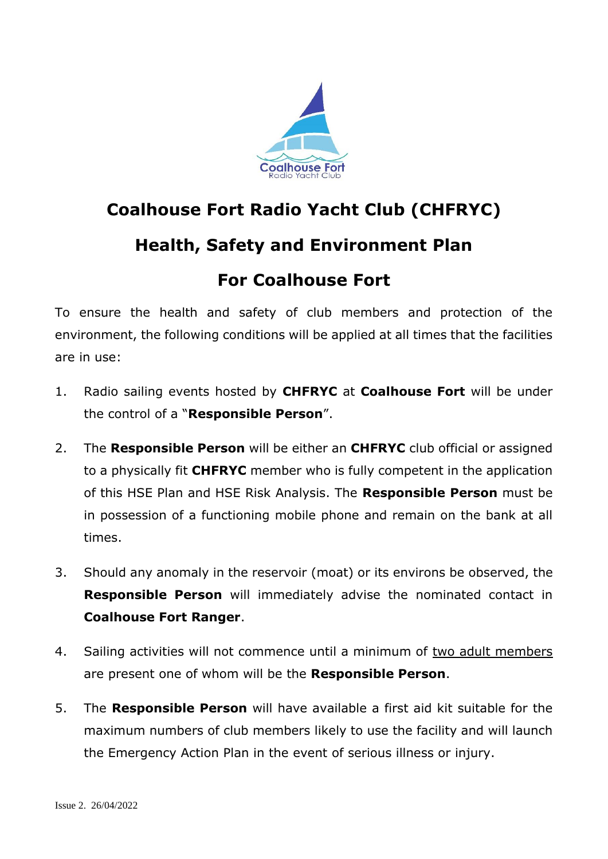

## **Coalhouse Fort Radio Yacht Club (CHFRYC) Health, Safety and Environment Plan For Coalhouse Fort**

To ensure the health and safety of club members and protection of the environment, the following conditions will be applied at all times that the facilities are in use:

- 1. Radio sailing events hosted by **CHFRYC** at **Coalhouse Fort** will be under the control of a "**Responsible Person**".
- 2. The **Responsible Person** will be either an **CHFRYC** club official or assigned to a physically fit **CHFRYC** member who is fully competent in the application of this HSE Plan and HSE Risk Analysis. The **Responsible Person** must be in possession of a functioning mobile phone and remain on the bank at all times.
- 3. Should any anomaly in the reservoir (moat) or its environs be observed, the **Responsible Person** will immediately advise the nominated contact in **Coalhouse Fort Ranger**.
- 4. Sailing activities will not commence until a minimum of two adult members are present one of whom will be the **Responsible Person**.
- 5. The **Responsible Person** will have available a first aid kit suitable for the maximum numbers of club members likely to use the facility and will launch the Emergency Action Plan in the event of serious illness or injury.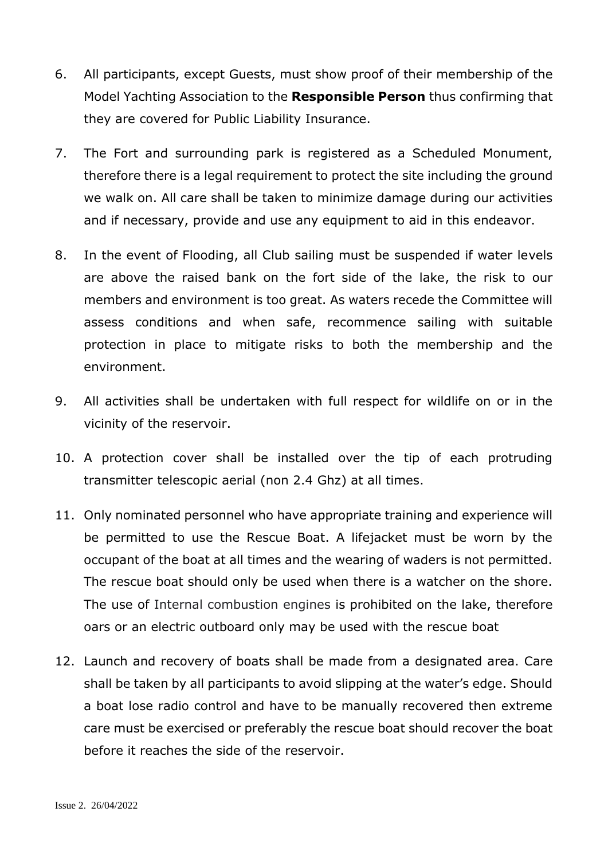- 6. All participants, except Guests, must show proof of their membership of the Model Yachting Association to the **Responsible Person** thus confirming that they are covered for Public Liability Insurance.
- 7. The Fort and surrounding park is registered as a Scheduled Monument, therefore there is a legal requirement to protect the site including the ground we walk on. All care shall be taken to minimize damage during our activities and if necessary, provide and use any equipment to aid in this endeavor.
- 8. In the event of Flooding, all Club sailing must be suspended if water levels are above the raised bank on the fort side of the lake, the risk to our members and environment is too great. As waters recede the Committee will assess conditions and when safe, recommence sailing with suitable protection in place to mitigate risks to both the membership and the environment.
- 9. All activities shall be undertaken with full respect for wildlife on or in the vicinity of the reservoir.
- 10. A protection cover shall be installed over the tip of each protruding transmitter telescopic aerial (non 2.4 Ghz) at all times.
- 11. Only nominated personnel who have appropriate training and experience will be permitted to use the Rescue Boat. A lifejacket must be worn by the occupant of the boat at all times and the wearing of waders is not permitted. The rescue boat should only be used when there is a watcher on the shore. The use of Internal combustion engines is prohibited on the lake, therefore oars or an electric outboard only may be used with the rescue boat
- 12. Launch and recovery of boats shall be made from a designated area. Care shall be taken by all participants to avoid slipping at the water's edge. Should a boat lose radio control and have to be manually recovered then extreme care must be exercised or preferably the rescue boat should recover the boat before it reaches the side of the reservoir.